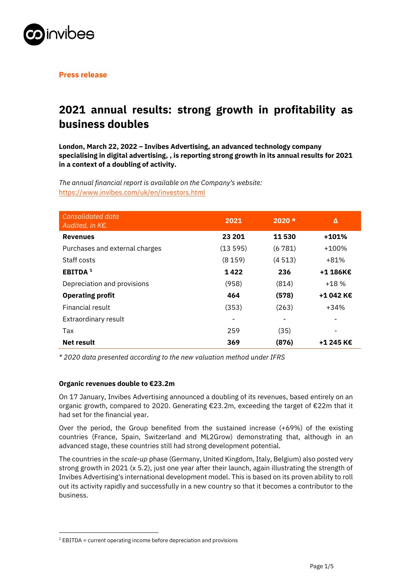

**Press release**

# **2021 annual results: strong growth in profitability as business doubles**

**London, March 22, 2022 – Invibes Advertising, an advanced technology company specialising in digital advertising, , is reporting strong growth in its annual results for 2021 in a context of a doubling of activity.**

*The annual financial report is available on the Company's website:*  https://www.invibes.com/uk/en/investors.html

| <b>Consolidated data</b><br>Audited, in K€. | 2021    | $2020 *$ | Δ         |
|---------------------------------------------|---------|----------|-----------|
| <b>Revenues</b>                             | 23 201  | 11530    | $+101%$   |
| Purchases and external charges              | (13595) | (6781)   | $+100%$   |
| Staff costs                                 | (8159)  | (4513)   | +81%      |
| <b>EBITDA</b> <sup>1</sup>                  | 1422    | 236      | +1 186K€  |
| Depreciation and provisions                 | (958)   | (814)    | $+18%$    |
| <b>Operating profit</b>                     | 464     | (578)    | +1 042 K€ |
| Financial result                            | (353)   | (263)    | $+34%$    |
| Extraordinary result                        |         |          |           |
| Tax                                         | 259     | (35)     |           |
| <b>Net result</b>                           | 369     | (876)    | +1 245 K€ |

*\* 2020 data presented according to the new valuation method under IFRS*

# **Organic revenues double to €23.2m**

On 17 January, Invibes Advertising announced a doubling of its revenues, based entirely on an organic growth, compared to 2020. Generating €23.2m, exceeding the target of €22m that it had set for the financial year.

Over the period, the Group benefited from the sustained increase (+69%) of the existing countries (France, Spain, Switzerland and ML2Grow) demonstrating that, although in an advanced stage, these countries still had strong development potential.

The countries in the *scale-up* phase (Germany, United Kingdom, Italy, Belgium) also posted very strong growth in 2021 (x 5.2), just one year after their launch, again illustrating the strength of Invibes Advertising's international development model. This is based on its proven ability to roll out its activity rapidly and successfully in a new country so that it becomes a contributor to the business.

 $1$  EBITDA = current operating income before depreciation and provisions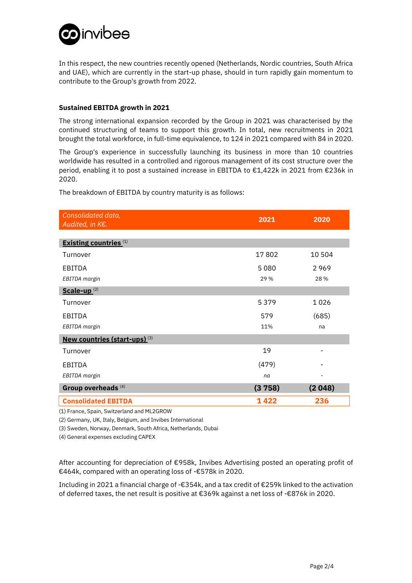

In this respect, the new countries recently opened (Netherlands, Nordic countries, South Africa and UAE), which are currently in the start-up phase, should in turn rapidly gain momentum to contribute to the Group's growth from 2022.

# **Sustained EBITDA growth in 2021**

The strong international expansion recorded by the Group in 2021 was characterised by the continued structuring of teams to support this growth. In total, new recruitments in 2021 brought the total workforce, in full-time equivalence, to 124 in 2021 compared with 84 in 2020.

The Group's experience in successfully launching its business in more than 10 countries worldwide has resulted in a controlled and rigorous management of its cost structure over the period, enabling it to post a sustained increase in EBITDA to €1,422k in 2021 from €236k in 2020.

The breakdown of EBITDA by country maturity is as follows:

| Consolidated data,<br>Audited, in K€.           | 2021   | 2020                     |
|-------------------------------------------------|--------|--------------------------|
| <b>Existing countries</b> <sup>(1)</sup>        |        |                          |
| Turnover                                        | 17802  | 10 504                   |
| EBITDA                                          | 5080   | 2969                     |
| EBITDA margin                                   | 29 %   | 28 %                     |
| $Scale-up^{(2)}$                                |        |                          |
| Turnover                                        | 5379   | 1026                     |
| <b>EBITDA</b>                                   | 579    | (685)                    |
| EBITDA margin                                   | 11%    | na                       |
| <b>New countries (start-ups)</b> <sup>(3)</sup> |        |                          |
| Turnover                                        | 19     |                          |
| EBITDA                                          | (479)  |                          |
| EBITDA margin                                   | na     | $\overline{\phantom{a}}$ |
| Group overheads <sup>(4)</sup>                  | (3758) | (2048)                   |
| <b>Consolidated EBITDA</b>                      | 1422   | 236                      |

(1) France, Spain, Switzerland and ML2GROW

(2) Germany, UK, Italy, Belgium, and Invibes International

(3) Sweden, Norway, Denmark, South Africa, Netherlands, Dubai

(4) General expenses excluding CAPEX

After accounting for depreciation of €958k, Invibes Advertising posted an operating profit of €464k, compared with an operating loss of -€578k in 2020.

Including in 2021 a financial charge of -€354k, and a tax credit of €259k linked to the activation of deferred taxes, the net result is positive at €369k against a net loss of -€876k in 2020.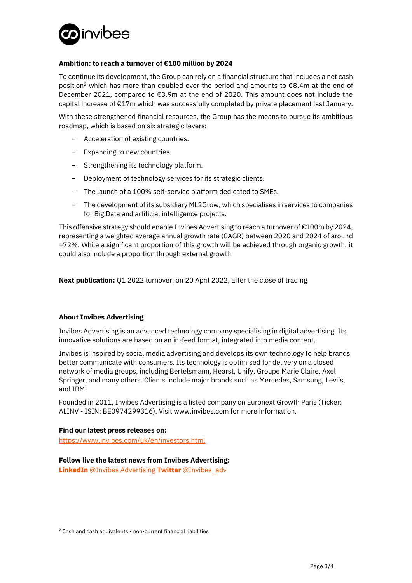

# **Ambition: to reach a turnover of €100 million by 2024**

To continue its development, the Group can rely on a financial structure that includes a net cash position<sup>2</sup> which has more than doubled over the period and amounts to  $\epsilon$ 8.4m at the end of December 2021, compared to €3.9m at the end of 2020. This amount does not include the capital increase of €17m which was successfully completed by private placement last January.

With these strengthened financial resources, the Group has the means to pursue its ambitious roadmap, which is based on six strategic levers:

- − Acceleration of existing countries.
- − Expanding to new countries.
- − Strengthening its technology platform.
- − Deployment of technology services for its strategic clients.
- − The launch of a 100% self-service platform dedicated to SMEs.
- − The development of its subsidiary ML2Grow, which specialises in services to companies for Big Data and artificial intelligence projects.

This offensive strategy should enable Invibes Advertising to reach a turnover of €100m by 2024, representing a weighted average annual growth rate (CAGR) between 2020 and 2024 of around +72%. While a significant proportion of this growth will be achieved through organic growth, it could also include a proportion through external growth.

**Next publication:** Q1 2022 turnover, on 20 April 2022, after the close of trading

# **About Invibes Advertising**

Invibes Advertising is an advanced technology company specialising in digital advertising. Its innovative solutions are based on an in-feed format, integrated into media content.

Invibes is inspired by social media advertising and develops its own technology to help brands better communicate with consumers. Its technology is optimised for delivery on a closed network of media groups, including Bertelsmann, Hearst, Unify, Groupe Marie Claire, Axel Springer, and many others. Clients include major brands such as Mercedes, Samsung, Levi's, and IBM.

Founded in 2011, Invibes Advertising is a listed company on Euronext Growth Paris (Ticker: ALINV - ISIN: BE0974299316). Visit www.invibes.com for more information.

# **Find our latest press releases on:**

https://www.invibes.com/uk/en/investors.html

# **Follow live the latest news from Invibes Advertising:**

**LinkedIn** [@Invibes Advertising](https://www.linkedin.com/company/invibes) **Twitter** [@Invibes\\_adv](https://twitter.com/invibes_adv) 

<sup>&</sup>lt;sup>2</sup> Cash and cash equivalents - non-current financial liabilities